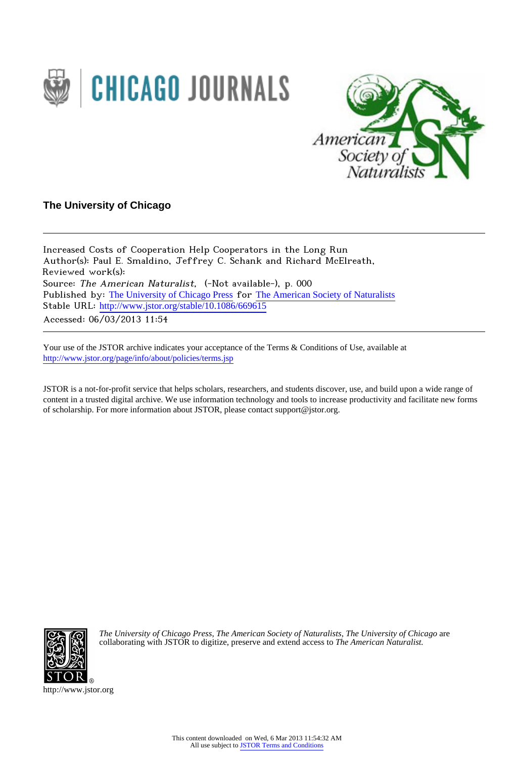



## **The University of Chicago**

Increased Costs of Cooperation Help Cooperators in the Long Run Author(s): Paul E. Smaldino, Jeffrey C. Schank and Richard McElreath, Reviewed work(s): Source: The American Naturalist, (-Not available-), p. 000 Published by: [The University of Chicago Press](http://www.jstor.org/action/showPublisher?publisherCode=ucpress) for [The American Society of Naturalists](http://www.jstor.org/action/showPublisher?publisherCode=amsocnat) Stable URL: http://www.jstor.org/stable/10.1086/669615

Accessed: 06/03/2013 11:54

Your use of the JSTOR archive indicates your acceptance of the Terms & Conditions of Use, available at <http://www.jstor.org/page/info/about/policies/terms.jsp>

JSTOR is a not-for-profit service that helps scholars, researchers, and students discover, use, and build upon a wide range of content in a trusted digital archive. We use information technology and tools to increase productivity and facilitate new forms of scholarship. For more information about JSTOR, please contact support@jstor.org.



*The University of Chicago Press*, *The American Society of Naturalists*, *The University of Chicago* are collaborating with JSTOR to digitize, preserve and extend access to *The American Naturalist.*

http://www.jstor.org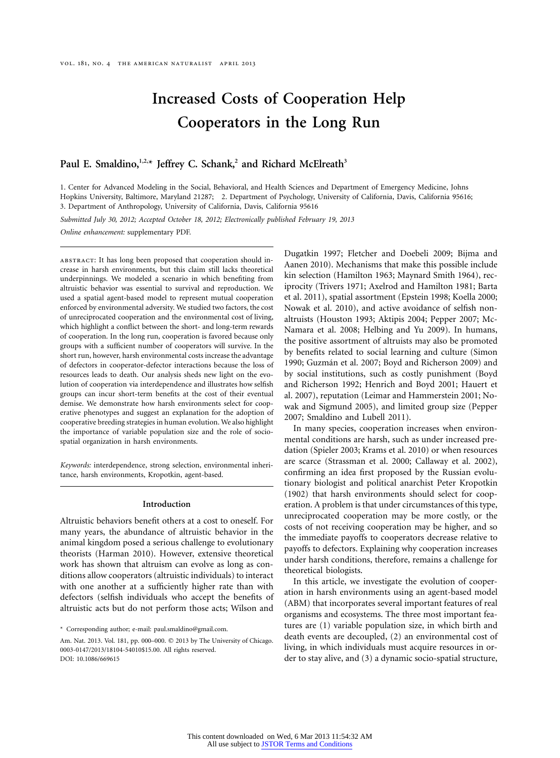# **Increased Costs of Cooperation Help Cooperators in the Long Run**

### Paul E. Smaldino,<sup>1,2,\*</sup> Jeffrey C. Schank,<sup>2</sup> and Richard McElreath<sup>3</sup>

1. Center for Advanced Modeling in the Social, Behavioral, and Health Sciences and Department of Emergency Medicine, Johns Hopkins University, Baltimore, Maryland 21287; 2. Department of Psychology, University of California, Davis, California 95616; 3. Department of Anthropology, University of California, Davis, California 95616

*Submitted July 30, 2012; Accepted October 18, 2012; Electronically published February 19, 2013*

*Online enhancement:* supplementary PDF.

ABSTRACT: It has long been proposed that cooperation should increase in harsh environments, but this claim still lacks theoretical underpinnings. We modeled a scenario in which benefiting from altruistic behavior was essential to survival and reproduction. We used a spatial agent-based model to represent mutual cooperation enforced by environmental adversity. We studied two factors, the cost of unreciprocated cooperation and the environmental cost of living, which highlight a conflict between the short- and long-term rewards of cooperation. In the long run, cooperation is favored because only groups with a sufficient number of cooperators will survive. In the short run, however, harsh environmental costs increase the advantage of defectors in cooperator-defector interactions because the loss of resources leads to death. Our analysis sheds new light on the evolution of cooperation via interdependence and illustrates how selfish groups can incur short-term benefits at the cost of their eventual demise. We demonstrate how harsh environments select for cooperative phenotypes and suggest an explanation for the adoption of cooperative breeding strategies in human evolution. We also highlight the importance of variable population size and the role of sociospatial organization in harsh environments.

*Keywords:* interdependence, strong selection, environmental inheritance, harsh environments, Kropotkin, agent-based.

#### **Introduction**

Altruistic behaviors benefit others at a cost to oneself. For many years, the abundance of altruistic behavior in the animal kingdom posed a serious challenge to evolutionary theorists (Harman 2010). However, extensive theoretical work has shown that altruism can evolve as long as conditions allow cooperators (altruistic individuals) to interact with one another at a sufficiently higher rate than with defectors (selfish individuals who accept the benefits of altruistic acts but do not perform those acts; Wilson and

Dugatkin 1997; Fletcher and Doebeli 2009; Bijma and Aanen 2010). Mechanisms that make this possible include kin selection (Hamilton 1963; Maynard Smith 1964), reciprocity (Trivers 1971; Axelrod and Hamilton 1981; Barta et al. 2011), spatial assortment (Epstein 1998; Koella 2000; Nowak et al. 2010), and active avoidance of selfish nonaltruists (Houston 1993; Aktipis 2004; Pepper 2007; Mc-Namara et al. 2008; Helbing and Yu 2009). In humans, the positive assortment of altruists may also be promoted by benefits related to social learning and culture (Simon 1990; Guzmán et al. 2007; Boyd and Richerson 2009) and by social institutions, such as costly punishment (Boyd and Richerson 1992; Henrich and Boyd 2001; Hauert et al. 2007), reputation (Leimar and Hammerstein 2001; Nowak and Sigmund 2005), and limited group size (Pepper 2007; Smaldino and Lubell 2011).

In many species, cooperation increases when environmental conditions are harsh, such as under increased predation (Spieler 2003; Krams et al. 2010) or when resources are scarce (Strassman et al. 2000; Callaway et al. 2002), confirming an idea first proposed by the Russian evolutionary biologist and political anarchist Peter Kropotkin (1902) that harsh environments should select for cooperation. A problem is that under circumstances of this type, unreciprocated cooperation may be more costly, or the costs of not receiving cooperation may be higher, and so the immediate payoffs to cooperators decrease relative to payoffs to defectors. Explaining why cooperation increases under harsh conditions, therefore, remains a challenge for theoretical biologists.

In this article, we investigate the evolution of cooperation in harsh environments using an agent-based model (ABM) that incorporates several important features of real organisms and ecosystems. The three most important features are (1) variable population size, in which birth and death events are decoupled, (2) an environmental cost of living, in which individuals must acquire resources in order to stay alive, and (3) a dynamic socio-spatial structure,

<sup>\*</sup> Corresponding author; e-mail: [paul.smaldino@gmail.com.](mailto:paul.smaldino@gmail.com)

Am. Nat. 2013. Vol. 181, pp. 000-000. @ 2013 by The University of Chicago. 0003-0147/2013/18104-54010\$15.00. All rights reserved. DOI: 10.1086/669615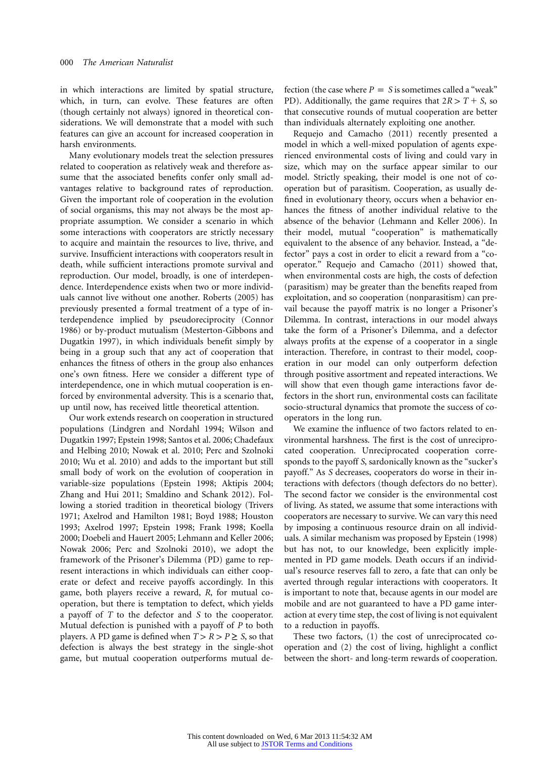in which interactions are limited by spatial structure, which, in turn, can evolve. These features are often (though certainly not always) ignored in theoretical considerations. We will demonstrate that a model with such features can give an account for increased cooperation in harsh environments.

Many evolutionary models treat the selection pressures related to cooperation as relatively weak and therefore assume that the associated benefits confer only small advantages relative to background rates of reproduction. Given the important role of cooperation in the evolution of social organisms, this may not always be the most appropriate assumption. We consider a scenario in which some interactions with cooperators are strictly necessary to acquire and maintain the resources to live, thrive, and survive. Insufficient interactions with cooperators result in death, while sufficient interactions promote survival and reproduction. Our model, broadly, is one of interdependence. Interdependence exists when two or more individuals cannot live without one another. Roberts (2005) has previously presented a formal treatment of a type of interdependence implied by pseudoreciprocity (Connor 1986) or by-product mutualism (Mesterton-Gibbons and Dugatkin 1997), in which individuals benefit simply by being in a group such that any act of cooperation that enhances the fitness of others in the group also enhances one's own fitness. Here we consider a different type of interdependence, one in which mutual cooperation is enforced by environmental adversity. This is a scenario that, up until now, has received little theoretical attention.

Our work extends research on cooperation in structured populations (Lindgren and Nordahl 1994; Wilson and Dugatkin 1997; Epstein 1998; Santos et al. 2006; Chadefaux and Helbing 2010; Nowak et al. 2010; Perc and Szolnoki 2010; Wu et al. 2010) and adds to the important but still small body of work on the evolution of cooperation in variable-size populations (Epstein 1998; Aktipis 2004; Zhang and Hui 2011; Smaldino and Schank 2012). Following a storied tradition in theoretical biology (Trivers 1971; Axelrod and Hamilton 1981; Boyd 1988; Houston 1993; Axelrod 1997; Epstein 1998; Frank 1998; Koella 2000; Doebeli and Hauert 2005; Lehmann and Keller 2006; Nowak 2006; Perc and Szolnoki 2010), we adopt the framework of the Prisoner's Dilemma (PD) game to represent interactions in which individuals can either cooperate or defect and receive payoffs accordingly. In this game, both players receive a reward, *R*, for mutual cooperation, but there is temptation to defect, which yields a payoff of *T* to the defector and *S* to the cooperator. Mutual defection is punished with a payoff of *P* to both players. A PD game is defined when  $T > R > P \geq S$ , so that defection is always the best strategy in the single-shot game, but mutual cooperation outperforms mutual de-

fection (the case where  $P = S$  is sometimes called a "weak" PD). Additionally, the game requires that  $2R > T + S$ , so that consecutive rounds of mutual cooperation are better than individuals alternately exploiting one another.

Requejo and Camacho (2011) recently presented a model in which a well-mixed population of agents experienced environmental costs of living and could vary in size, which may on the surface appear similar to our model. Strictly speaking, their model is one not of cooperation but of parasitism. Cooperation, as usually defined in evolutionary theory, occurs when a behavior enhances the fitness of another individual relative to the absence of the behavior (Lehmann and Keller 2006). In their model, mutual "cooperation" is mathematically equivalent to the absence of any behavior. Instead, a "defector" pays a cost in order to elicit a reward from a "cooperator." Requejo and Camacho (2011) showed that, when environmental costs are high, the costs of defection (parasitism) may be greater than the benefits reaped from exploitation, and so cooperation (nonparasitism) can prevail because the payoff matrix is no longer a Prisoner's Dilemma. In contrast, interactions in our model always take the form of a Prisoner's Dilemma, and a defector always profits at the expense of a cooperator in a single interaction. Therefore, in contrast to their model, cooperation in our model can only outperform defection through positive assortment and repeated interactions. We will show that even though game interactions favor defectors in the short run, environmental costs can facilitate socio-structural dynamics that promote the success of cooperators in the long run.

We examine the influence of two factors related to environmental harshness. The first is the cost of unreciprocated cooperation. Unreciprocated cooperation corresponds to the payoff *S*, sardonically known as the "sucker's payoff." As *S* decreases, cooperators do worse in their interactions with defectors (though defectors do no better). The second factor we consider is the environmental cost of living. As stated, we assume that some interactions with cooperators are necessary to survive. We can vary this need by imposing a continuous resource drain on all individuals. A similar mechanism was proposed by Epstein (1998) but has not, to our knowledge, been explicitly implemented in PD game models. Death occurs if an individual's resource reserves fall to zero, a fate that can only be averted through regular interactions with cooperators. It is important to note that, because agents in our model are mobile and are not guaranteed to have a PD game interaction at every time step, the cost of living is not equivalent to a reduction in payoffs.

These two factors, (1) the cost of unreciprocated cooperation and (2) the cost of living, highlight a conflict between the short- and long-term rewards of cooperation.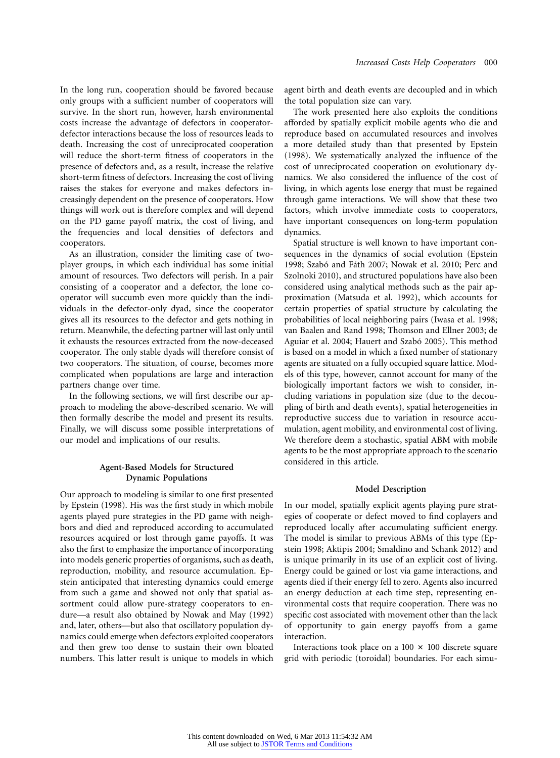In the long run, cooperation should be favored because only groups with a sufficient number of cooperators will survive. In the short run, however, harsh environmental costs increase the advantage of defectors in cooperatordefector interactions because the loss of resources leads to death. Increasing the cost of unreciprocated cooperation will reduce the short-term fitness of cooperators in the presence of defectors and, as a result, increase the relative short-term fitness of defectors. Increasing the cost of living raises the stakes for everyone and makes defectors increasingly dependent on the presence of cooperators. How things will work out is therefore complex and will depend on the PD game payoff matrix, the cost of living, and the frequencies and local densities of defectors and cooperators.

As an illustration, consider the limiting case of twoplayer groups, in which each individual has some initial amount of resources. Two defectors will perish. In a pair consisting of a cooperator and a defector, the lone cooperator will succumb even more quickly than the individuals in the defector-only dyad, since the cooperator gives all its resources to the defector and gets nothing in return. Meanwhile, the defecting partner will last only until it exhausts the resources extracted from the now-deceased cooperator. The only stable dyads will therefore consist of two cooperators. The situation, of course, becomes more complicated when populations are large and interaction partners change over time.

In the following sections, we will first describe our approach to modeling the above-described scenario. We will then formally describe the model and present its results. Finally, we will discuss some possible interpretations of our model and implications of our results.

#### **Agent-Based Models for Structured Dynamic Populations**

Our approach to modeling is similar to one first presented by Epstein (1998). His was the first study in which mobile agents played pure strategies in the PD game with neighbors and died and reproduced according to accumulated resources acquired or lost through game payoffs. It was also the first to emphasize the importance of incorporating into models generic properties of organisms, such as death, reproduction, mobility, and resource accumulation. Epstein anticipated that interesting dynamics could emerge from such a game and showed not only that spatial assortment could allow pure-strategy cooperators to endure—a result also obtained by Nowak and May (1992) and, later, others—but also that oscillatory population dynamics could emerge when defectors exploited cooperators and then grew too dense to sustain their own bloated numbers. This latter result is unique to models in which agent birth and death events are decoupled and in which the total population size can vary.

The work presented here also exploits the conditions afforded by spatially explicit mobile agents who die and reproduce based on accumulated resources and involves a more detailed study than that presented by Epstein (1998). We systematically analyzed the influence of the cost of unreciprocated cooperation on evolutionary dynamics. We also considered the influence of the cost of living, in which agents lose energy that must be regained through game interactions. We will show that these two factors, which involve immediate costs to cooperators, have important consequences on long-term population dynamics.

Spatial structure is well known to have important consequences in the dynamics of social evolution (Epstein 1998; Szabó and Fáth 2007; Nowak et al. 2010; Perc and Szolnoki 2010), and structured populations have also been considered using analytical methods such as the pair approximation (Matsuda et al. 1992), which accounts for certain properties of spatial structure by calculating the probabilities of local neighboring pairs (Iwasa et al. 1998; van Baalen and Rand 1998; Thomson and Ellner 2003; de Aguiar et al. 2004; Hauert and Szabó 2005). This method is based on a model in which a fixed number of stationary agents are situated on a fully occupied square lattice. Models of this type, however, cannot account for many of the biologically important factors we wish to consider, including variations in population size (due to the decoupling of birth and death events), spatial heterogeneities in reproductive success due to variation in resource accumulation, agent mobility, and environmental cost of living. We therefore deem a stochastic, spatial ABM with mobile agents to be the most appropriate approach to the scenario considered in this article.

#### **Model Description**

In our model, spatially explicit agents playing pure strategies of cooperate or defect moved to find coplayers and reproduced locally after accumulating sufficient energy. The model is similar to previous ABMs of this type (Epstein 1998; Aktipis 2004; Smaldino and Schank 2012) and is unique primarily in its use of an explicit cost of living. Energy could be gained or lost via game interactions, and agents died if their energy fell to zero. Agents also incurred an energy deduction at each time step, representing environmental costs that require cooperation. There was no specific cost associated with movement other than the lack of opportunity to gain energy payoffs from a game interaction.

Interactions took place on a  $100 \times 100$  discrete square grid with periodic (toroidal) boundaries. For each simu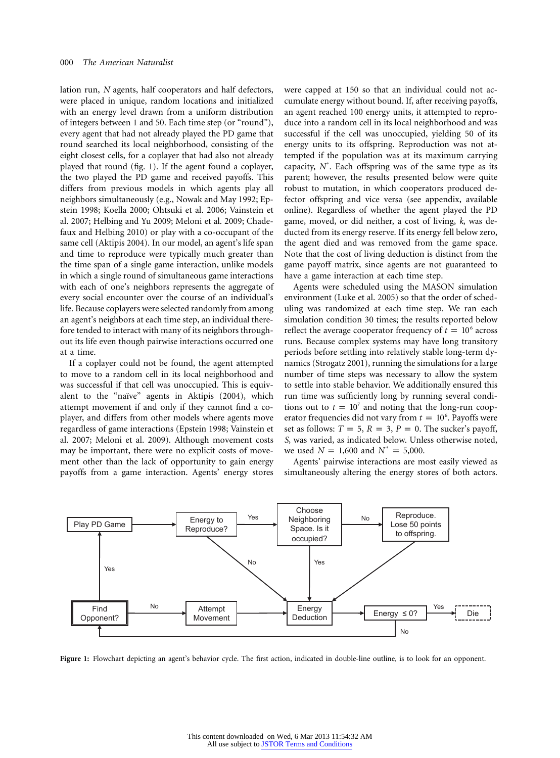lation run, *N* agents, half cooperators and half defectors, were placed in unique, random locations and initialized with an energy level drawn from a uniform distribution of integers between 1 and 50. Each time step (or "round"), every agent that had not already played the PD game that round searched its local neighborhood, consisting of the eight closest cells, for a coplayer that had also not already played that round (fig. 1). If the agent found a coplayer, the two played the PD game and received payoffs. This differs from previous models in which agents play all neighbors simultaneously (e.g., Nowak and May 1992; Epstein 1998; Koella 2000; Ohtsuki et al. 2006; Vainstein et al. 2007; Helbing and Yu 2009; Meloni et al. 2009; Chadefaux and Helbing 2010) or play with a co-occupant of the same cell (Aktipis 2004). In our model, an agent's life span and time to reproduce were typically much greater than the time span of a single game interaction, unlike models in which a single round of simultaneous game interactions with each of one's neighbors represents the aggregate of every social encounter over the course of an individual's life. Because coplayers were selected randomly from among an agent's neighbors at each time step, an individual therefore tended to interact with many of its neighbors throughout its life even though pairwise interactions occurred one at a time.

If a coplayer could not be found, the agent attempted to move to a random cell in its local neighborhood and was successful if that cell was unoccupied. This is equivalent to the "naïve" agents in Aktipis (2004), which attempt movement if and only if they cannot find a coplayer, and differs from other models where agents move regardless of game interactions (Epstein 1998; Vainstein et al. 2007; Meloni et al. 2009). Although movement costs may be important, there were no explicit costs of movement other than the lack of opportunity to gain energy payoffs from a game interaction. Agents' energy stores

were capped at 150 so that an individual could not accumulate energy without bound. If, after receiving payoffs, an agent reached 100 energy units, it attempted to reproduce into a random cell in its local neighborhood and was successful if the cell was unoccupied, yielding 50 of its energy units to its offspring. Reproduction was not attempted if the population was at its maximum carrying capacity, *N*\* . Each offspring was of the same type as its parent; however, the results presented below were quite robust to mutation, in which cooperators produced defector offspring and vice versa (see appendix, available online). Regardless of whether the agent played the PD game, moved, or did neither, a cost of living, *k*, was deducted from its energy reserve. If its energy fell below zero, the agent died and was removed from the game space. Note that the cost of living deduction is distinct from the game payoff matrix, since agents are not guaranteed to have a game interaction at each time step.

Agents were scheduled using the MASON simulation environment (Luke et al. 2005) so that the order of scheduling was randomized at each time step. We ran each simulation condition 30 times; the results reported below reflect the average cooperator frequency of  $t = 10^6$  across runs. Because complex systems may have long transitory periods before settling into relatively stable long-term dynamics (Strogatz 2001), running the simulations for a large number of time steps was necessary to allow the system to settle into stable behavior. We additionally ensured this run time was sufficiently long by running several conditions out to  $t = 10^7$  and noting that the long-run cooperator frequencies did not vary from  $t = 10^6$ . Payoffs were set as follows:  $T = 5$ ,  $R = 3$ ,  $P = 0$ . The sucker's payoff, *S*, was varied, as indicated below. Unless otherwise noted, we used  $N = 1,600$  and  $N^* = 5,000$ .

Agents' pairwise interactions are most easily viewed as simultaneously altering the energy stores of both actors.



**Figure 1:** Flowchart depicting an agent's behavior cycle. The first action, indicated in double-line outline, is to look for an opponent.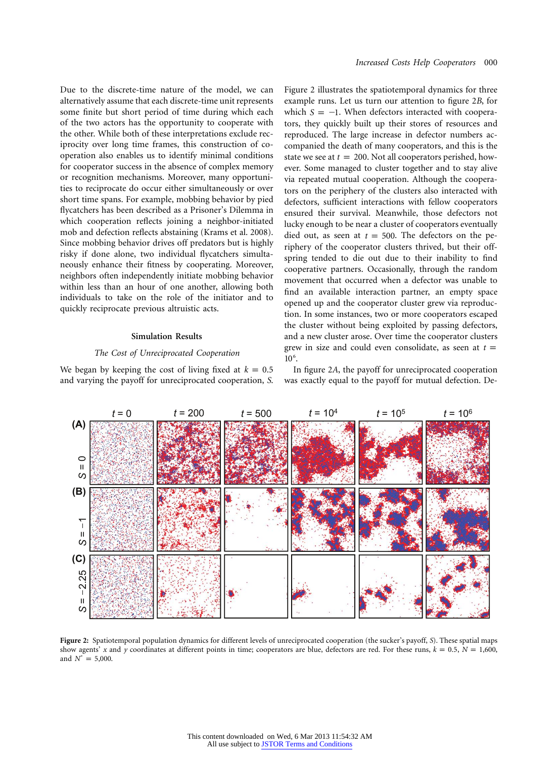Due to the discrete-time nature of the model, we can alternatively assume that each discrete-time unit represents some finite but short period of time during which each of the two actors has the opportunity to cooperate with the other. While both of these interpretations exclude reciprocity over long time frames, this construction of cooperation also enables us to identify minimal conditions for cooperator success in the absence of complex memory or recognition mechanisms. Moreover, many opportunities to reciprocate do occur either simultaneously or over short time spans. For example, mobbing behavior by pied flycatchers has been described as a Prisoner's Dilemma in which cooperation reflects joining a neighbor-initiated mob and defection reflects abstaining (Krams et al. 2008). Since mobbing behavior drives off predators but is highly risky if done alone, two individual flycatchers simultaneously enhance their fitness by cooperating. Moreover, neighbors often independently initiate mobbing behavior within less than an hour of one another, allowing both individuals to take on the role of the initiator and to quickly reciprocate previous altruistic acts.

#### **Simulation Results**

#### *The Cost of Unreciprocated Cooperation*

We began by keeping the cost of living fixed at  $k = 0.5$ and varying the payoff for unreciprocated cooperation, *S*.

Figure 2 illustrates the spatiotemporal dynamics for three example runs. Let us turn our attention to figure 2*B*, for which  $S = -1$ . When defectors interacted with cooperators, they quickly built up their stores of resources and reproduced. The large increase in defector numbers accompanied the death of many cooperators, and this is the state we see at  $t = 200$ . Not all cooperators perished, however. Some managed to cluster together and to stay alive via repeated mutual cooperation. Although the cooperators on the periphery of the clusters also interacted with defectors, sufficient interactions with fellow cooperators ensured their survival. Meanwhile, those defectors not lucky enough to be near a cluster of cooperators eventually died out, as seen at  $t = 500$ . The defectors on the periphery of the cooperator clusters thrived, but their offspring tended to die out due to their inability to find cooperative partners. Occasionally, through the random movement that occurred when a defector was unable to find an available interaction partner, an empty space opened up and the cooperator cluster grew via reproduction. In some instances, two or more cooperators escaped the cluster without being exploited by passing defectors, and a new cluster arose. Over time the cooperator clusters grew in size and could even consolidate, as seen at  $t =$  $10^6$ .

In figure 2*A*, the payoff for unreciprocated cooperation was exactly equal to the payoff for mutual defection. De-



**Figure 2:** Spatiotemporal population dynamics for different levels of unreciprocated cooperation (the sucker's payoff, *S*). These spatial maps show agents' *x* and *y* coordinates at different points in time; cooperators are blue, defectors are red. For these runs,  $k = 0.5$ ,  $N = 1,600$ , and  $N^* = 5,000$ .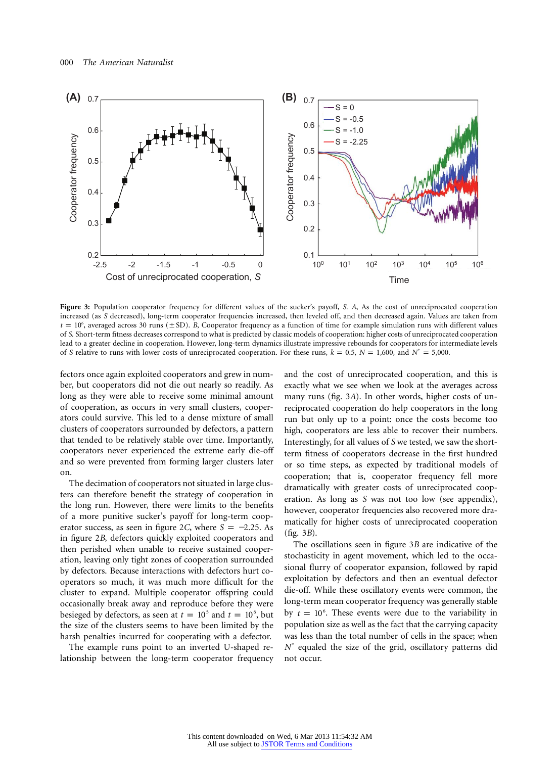

**Figure 3:** Population cooperator frequency for different values of the sucker's payoff, *S*. *A*, As the cost of unreciprocated cooperation increased (as *S* decreased), long-term cooperator frequencies increased, then leveled off, and then decreased again. Values are taken from  $t = 10^6$ , averaged across 30 runs ( $\pm$ SD). *B*, Cooperator frequency as a function of time for example simulation runs with different values of *S*. Short-term fitness decreases correspond to what is predicted by classic models of cooperation: higher costs of unreciprocated cooperation lead to a greater decline in cooperation. However, long-term dynamics illustrate impressive rebounds for cooperators for intermediate levels of *S* relative to runs with lower costs of unreciprocated cooperation. For these runs,  $k = 0.5$ ,  $N = 1,600$ , and  $N^* = 5,000$ .

fectors once again exploited cooperators and grew in number, but cooperators did not die out nearly so readily. As long as they were able to receive some minimal amount of cooperation, as occurs in very small clusters, cooperators could survive. This led to a dense mixture of small clusters of cooperators surrounded by defectors, a pattern that tended to be relatively stable over time. Importantly, cooperators never experienced the extreme early die-off and so were prevented from forming larger clusters later on.

The decimation of cooperators not situated in large clusters can therefore benefit the strategy of cooperation in the long run. However, there were limits to the benefits of a more punitive sucker's payoff for long-term cooperator success, as seen in figure 2*C*, where  $S = -2.25$ . As in figure 2*B*, defectors quickly exploited cooperators and then perished when unable to receive sustained cooperation, leaving only tight zones of cooperation surrounded by defectors. Because interactions with defectors hurt cooperators so much, it was much more difficult for the cluster to expand. Multiple cooperator offspring could occasionally break away and reproduce before they were besieged by defectors, as seen at  $t = 10^5$  and  $t = 10^6$ , but the size of the clusters seems to have been limited by the harsh penalties incurred for cooperating with a defector.

The example runs point to an inverted U-shaped relationship between the long-term cooperator frequency and the cost of unreciprocated cooperation, and this is exactly what we see when we look at the averages across many runs (fig. 3*A*). In other words, higher costs of unreciprocated cooperation do help cooperators in the long run but only up to a point: once the costs become too high, cooperators are less able to recover their numbers. Interestingly, for all values of *S* we tested, we saw the shortterm fitness of cooperators decrease in the first hundred or so time steps, as expected by traditional models of cooperation; that is, cooperator frequency fell more dramatically with greater costs of unreciprocated cooperation. As long as *S* was not too low (see appendix), however, cooperator frequencies also recovered more dramatically for higher costs of unreciprocated cooperation (fig. 3*B*).

The oscillations seen in figure 3*B* are indicative of the stochasticity in agent movement, which led to the occasional flurry of cooperator expansion, followed by rapid exploitation by defectors and then an eventual defector die-off. While these oscillatory events were common, the long-term mean cooperator frequency was generally stable by  $t = 10^6$ . These events were due to the variability in population size as well as the fact that the carrying capacity was less than the total number of cells in the space; when *N*\* equaled the size of the grid, oscillatory patterns did not occur.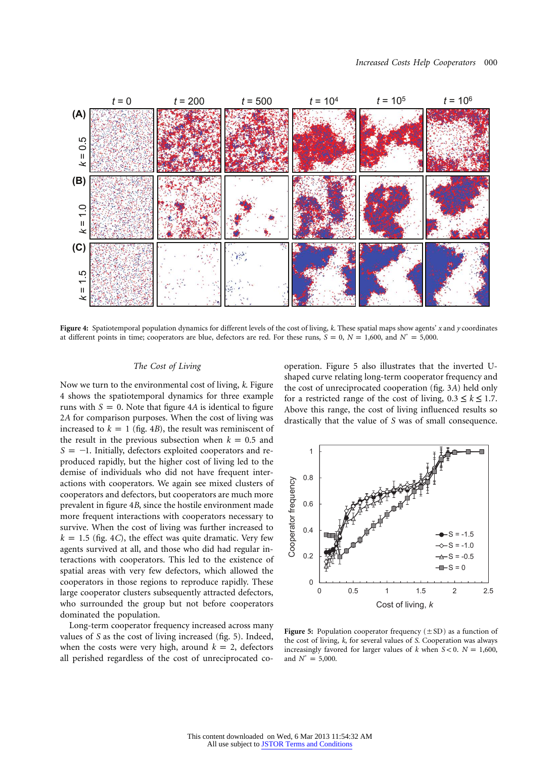

**Figure 4:** Spatiotemporal population dynamics for different levels of the cost of living, *k*. These spatial maps show agents' *x* and *y* coordinates at different points in time; cooperators are blue, defectors are red. For these runs,  $S = 0$ ,  $N = 1,600$ , and  $N^* = 5,000$ .

#### *The Cost of Living*

Now we turn to the environmental cost of living, *k*. Figure 4 shows the spatiotemporal dynamics for three example runs with  $S = 0$ . Note that figure 4A is identical to figure 2*A* for comparison purposes. When the cost of living was increased to  $k = 1$  (fig. 4*B*), the result was reminiscent of the result in the previous subsection when  $k = 0.5$  and  $S = -1$ . Initially, defectors exploited cooperators and reproduced rapidly, but the higher cost of living led to the demise of individuals who did not have frequent interactions with cooperators. We again see mixed clusters of cooperators and defectors, but cooperators are much more prevalent in figure 4*B*, since the hostile environment made more frequent interactions with cooperators necessary to survive. When the cost of living was further increased to  $k = 1.5$  (fig. 4*C*), the effect was quite dramatic. Very few agents survived at all, and those who did had regular interactions with cooperators. This led to the existence of spatial areas with very few defectors, which allowed the cooperators in those regions to reproduce rapidly. These large cooperator clusters subsequently attracted defectors, who surrounded the group but not before cooperators dominated the population.

Long-term cooperator frequency increased across many values of *S* as the cost of living increased (fig. 5). Indeed, when the costs were very high, around  $k = 2$ , defectors all perished regardless of the cost of unreciprocated cooperation. Figure 5 also illustrates that the inverted Ushaped curve relating long-term cooperator frequency and the cost of unreciprocated cooperation (fig. 3*A*) held only for a restricted range of the cost of living,  $0.3 \le k \le 1.7$ . Above this range, the cost of living influenced results so drastically that the value of *S* was of small consequence.



**Figure 5:** Population cooperator frequency  $(\pm SD)$  as a function of the cost of living, *k*, for several values of *S*. Cooperation was always increasingly favored for larger values of *k* when  $S < 0$ .  $N = 1,600$ , and  $N^* = 5,000$ .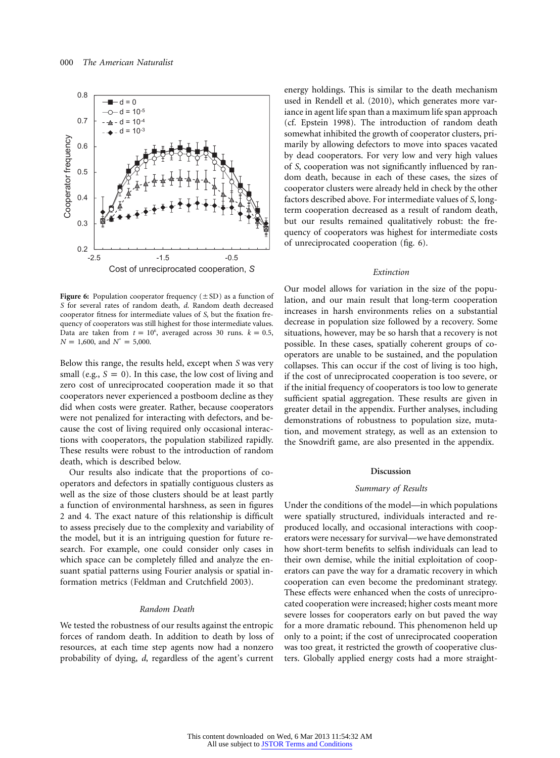

**Figure 6:** Population cooperator frequency  $(\pm SD)$  as a function of *S* for several rates of random death, *d*. Random death decreased cooperator fitness for intermediate values of *S*, but the fixation frequency of cooperators was still highest for those intermediate values. Data are taken from  $t = 10^6$ , averaged across 30 runs.  $k = 0.5$ ,  $N = 1,600$ , and  $N^* = 5,000$ .

Below this range, the results held, except when *S* was very small (e.g.,  $S = 0$ ). In this case, the low cost of living and zero cost of unreciprocated cooperation made it so that cooperators never experienced a postboom decline as they did when costs were greater. Rather, because cooperators were not penalized for interacting with defectors, and because the cost of living required only occasional interactions with cooperators, the population stabilized rapidly. These results were robust to the introduction of random death, which is described below.

Our results also indicate that the proportions of cooperators and defectors in spatially contiguous clusters as well as the size of those clusters should be at least partly a function of environmental harshness, as seen in figures 2 and 4. The exact nature of this relationship is difficult to assess precisely due to the complexity and variability of the model, but it is an intriguing question for future research. For example, one could consider only cases in which space can be completely filled and analyze the ensuant spatial patterns using Fourier analysis or spatial information metrics (Feldman and Crutchfield 2003).

#### *Random Death*

We tested the robustness of our results against the entropic forces of random death. In addition to death by loss of resources, at each time step agents now had a nonzero probability of dying, *d*, regardless of the agent's current

energy holdings. This is similar to the death mechanism used in Rendell et al. (2010), which generates more variance in agent life span than a maximum life span approach (cf. Epstein 1998). The introduction of random death somewhat inhibited the growth of cooperator clusters, primarily by allowing defectors to move into spaces vacated by dead cooperators. For very low and very high values of *S*, cooperation was not significantly influenced by random death, because in each of these cases, the sizes of cooperator clusters were already held in check by the other factors described above. For intermediate values of *S*, longterm cooperation decreased as a result of random death, but our results remained qualitatively robust: the frequency of cooperators was highest for intermediate costs of unreciprocated cooperation (fig. 6).

#### *Extinction*

Our model allows for variation in the size of the population, and our main result that long-term cooperation increases in harsh environments relies on a substantial decrease in population size followed by a recovery. Some situations, however, may be so harsh that a recovery is not possible. In these cases, spatially coherent groups of cooperators are unable to be sustained, and the population collapses. This can occur if the cost of living is too high, if the cost of unreciprocated cooperation is too severe, or if the initial frequency of cooperators is too low to generate sufficient spatial aggregation. These results are given in greater detail in the appendix. Further analyses, including demonstrations of robustness to population size, mutation, and movement strategy, as well as an extension to the Snowdrift game, are also presented in the appendix.

#### **Discussion**

#### *Summary of Results*

Under the conditions of the model—in which populations were spatially structured, individuals interacted and reproduced locally, and occasional interactions with cooperators were necessary for survival—we have demonstrated how short-term benefits to selfish individuals can lead to their own demise, while the initial exploitation of cooperators can pave the way for a dramatic recovery in which cooperation can even become the predominant strategy. These effects were enhanced when the costs of unreciprocated cooperation were increased; higher costs meant more severe losses for cooperators early on but paved the way for a more dramatic rebound. This phenomenon held up only to a point; if the cost of unreciprocated cooperation was too great, it restricted the growth of cooperative clusters. Globally applied energy costs had a more straight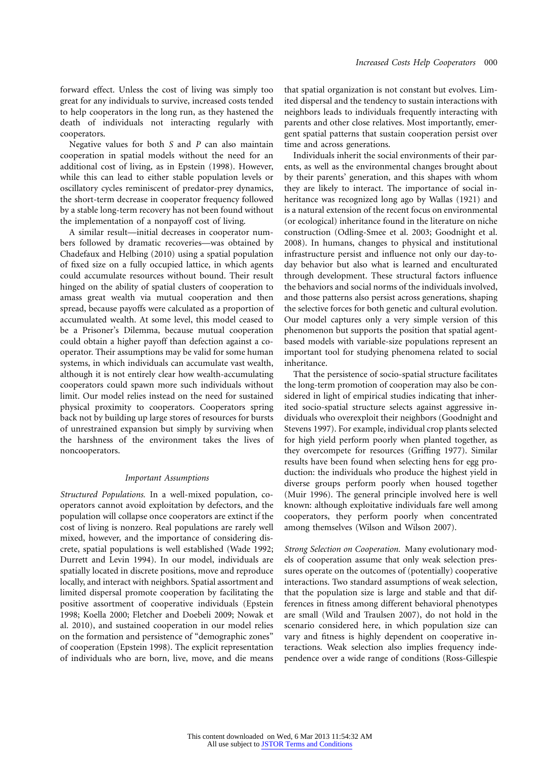forward effect. Unless the cost of living was simply too great for any individuals to survive, increased costs tended to help cooperators in the long run, as they hastened the death of individuals not interacting regularly with cooperators.

Negative values for both *S* and *P* can also maintain cooperation in spatial models without the need for an additional cost of living, as in Epstein (1998). However, while this can lead to either stable population levels or oscillatory cycles reminiscent of predator-prey dynamics, the short-term decrease in cooperator frequency followed by a stable long-term recovery has not been found without the implementation of a nonpayoff cost of living.

A similar result—initial decreases in cooperator numbers followed by dramatic recoveries—was obtained by Chadefaux and Helbing (2010) using a spatial population of fixed size on a fully occupied lattice, in which agents could accumulate resources without bound. Their result hinged on the ability of spatial clusters of cooperation to amass great wealth via mutual cooperation and then spread, because payoffs were calculated as a proportion of accumulated wealth. At some level, this model ceased to be a Prisoner's Dilemma, because mutual cooperation could obtain a higher payoff than defection against a cooperator. Their assumptions may be valid for some human systems, in which individuals can accumulate vast wealth, although it is not entirely clear how wealth-accumulating cooperators could spawn more such individuals without limit. Our model relies instead on the need for sustained physical proximity to cooperators. Cooperators spring back not by building up large stores of resources for bursts of unrestrained expansion but simply by surviving when the harshness of the environment takes the lives of noncooperators.

#### *Important Assumptions*

*Structured Populations.* In a well-mixed population, cooperators cannot avoid exploitation by defectors, and the population will collapse once cooperators are extinct if the cost of living is nonzero. Real populations are rarely well mixed, however, and the importance of considering discrete, spatial populations is well established (Wade 1992; Durrett and Levin 1994). In our model, individuals are spatially located in discrete positions, move and reproduce locally, and interact with neighbors. Spatial assortment and limited dispersal promote cooperation by facilitating the positive assortment of cooperative individuals (Epstein 1998; Koella 2000; Fletcher and Doebeli 2009; Nowak et al. 2010), and sustained cooperation in our model relies on the formation and persistence of "demographic zones" of cooperation (Epstein 1998). The explicit representation of individuals who are born, live, move, and die means

that spatial organization is not constant but evolves. Limited dispersal and the tendency to sustain interactions with neighbors leads to individuals frequently interacting with parents and other close relatives. Most importantly, emergent spatial patterns that sustain cooperation persist over time and across generations.

Individuals inherit the social environments of their parents, as well as the environmental changes brought about by their parents' generation, and this shapes with whom they are likely to interact. The importance of social inheritance was recognized long ago by Wallas (1921) and is a natural extension of the recent focus on environmental (or ecological) inheritance found in the literature on niche construction (Odling-Smee et al. 2003; Goodnight et al. 2008). In humans, changes to physical and institutional infrastructure persist and influence not only our day-today behavior but also what is learned and enculturated through development. These structural factors influence the behaviors and social norms of the individuals involved, and those patterns also persist across generations, shaping the selective forces for both genetic and cultural evolution. Our model captures only a very simple version of this phenomenon but supports the position that spatial agentbased models with variable-size populations represent an important tool for studying phenomena related to social inheritance.

That the persistence of socio-spatial structure facilitates the long-term promotion of cooperation may also be considered in light of empirical studies indicating that inherited socio-spatial structure selects against aggressive individuals who overexploit their neighbors (Goodnight and Stevens 1997). For example, individual crop plants selected for high yield perform poorly when planted together, as they overcompete for resources (Griffing 1977). Similar results have been found when selecting hens for egg production: the individuals who produce the highest yield in diverse groups perform poorly when housed together (Muir 1996). The general principle involved here is well known: although exploitative individuals fare well among cooperators, they perform poorly when concentrated among themselves (Wilson and Wilson 2007).

*Strong Selection on Cooperation.* Many evolutionary models of cooperation assume that only weak selection pressures operate on the outcomes of (potentially) cooperative interactions. Two standard assumptions of weak selection, that the population size is large and stable and that differences in fitness among different behavioral phenotypes are small (Wild and Traulsen 2007), do not hold in the scenario considered here, in which population size can vary and fitness is highly dependent on cooperative interactions. Weak selection also implies frequency independence over a wide range of conditions (Ross-Gillespie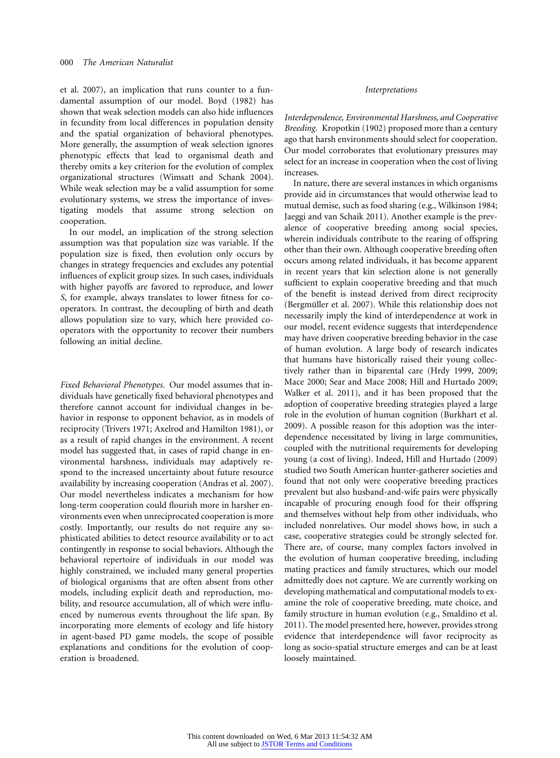et al. 2007), an implication that runs counter to a fundamental assumption of our model. Boyd (1982) has shown that weak selection models can also hide influences in fecundity from local differences in population density and the spatial organization of behavioral phenotypes. More generally, the assumption of weak selection ignores phenotypic effects that lead to organismal death and thereby omits a key criterion for the evolution of complex organizational structures (Wimsatt and Schank 2004). While weak selection may be a valid assumption for some evolutionary systems, we stress the importance of investigating models that assume strong selection on cooperation.

In our model, an implication of the strong selection assumption was that population size was variable. If the population size is fixed, then evolution only occurs by changes in strategy frequencies and excludes any potential influences of explicit group sizes. In such cases, individuals with higher payoffs are favored to reproduce, and lower *S*, for example, always translates to lower fitness for cooperators. In contrast, the decoupling of birth and death allows population size to vary, which here provided cooperators with the opportunity to recover their numbers following an initial decline.

*Fixed Behavioral Phenotypes.* Our model assumes that individuals have genetically fixed behavioral phenotypes and therefore cannot account for individual changes in behavior in response to opponent behavior, as in models of reciprocity (Trivers 1971; Axelrod and Hamilton 1981), or as a result of rapid changes in the environment. A recent model has suggested that, in cases of rapid change in environmental harshness, individuals may adaptively respond to the increased uncertainty about future resource availability by increasing cooperation (Andras et al. 2007). Our model nevertheless indicates a mechanism for how long-term cooperation could flourish more in harsher environments even when unreciprocated cooperation is more costly. Importantly, our results do not require any sophisticated abilities to detect resource availability or to act contingently in response to social behaviors. Although the behavioral repertoire of individuals in our model was highly constrained, we included many general properties of biological organisms that are often absent from other models, including explicit death and reproduction, mobility, and resource accumulation, all of which were influenced by numerous events throughout the life span. By incorporating more elements of ecology and life history in agent-based PD game models, the scope of possible explanations and conditions for the evolution of cooperation is broadened.

#### *Interpretations*

*Interdependence, Environmental Harshness, and Cooperative Breeding.* Kropotkin (1902) proposed more than a century ago that harsh environments should select for cooperation. Our model corroborates that evolutionary pressures may select for an increase in cooperation when the cost of living increases.

In nature, there are several instances in which organisms provide aid in circumstances that would otherwise lead to mutual demise, such as food sharing (e.g., Wilkinson 1984; Jaeggi and van Schaik 2011). Another example is the prevalence of cooperative breeding among social species, wherein individuals contribute to the rearing of offspring other than their own. Although cooperative breeding often occurs among related individuals, it has become apparent in recent years that kin selection alone is not generally sufficient to explain cooperative breeding and that much of the benefit is instead derived from direct reciprocity (Bergmüller et al. 2007). While this relationship does not necessarily imply the kind of interdependence at work in our model, recent evidence suggests that interdependence may have driven cooperative breeding behavior in the case of human evolution. A large body of research indicates that humans have historically raised their young collectively rather than in biparental care (Hrdy 1999, 2009; Mace 2000; Sear and Mace 2008; Hill and Hurtado 2009; Walker et al. 2011), and it has been proposed that the adoption of cooperative breeding strategies played a large role in the evolution of human cognition (Burkhart et al. 2009). A possible reason for this adoption was the interdependence necessitated by living in large communities, coupled with the nutritional requirements for developing young (a cost of living). Indeed, Hill and Hurtado (2009) studied two South American hunter-gatherer societies and found that not only were cooperative breeding practices prevalent but also husband-and-wife pairs were physically incapable of procuring enough food for their offspring and themselves without help from other individuals, who included nonrelatives. Our model shows how, in such a case, cooperative strategies could be strongly selected for. There are, of course, many complex factors involved in the evolution of human cooperative breeding, including mating practices and family structures, which our model admittedly does not capture. We are currently working on developing mathematical and computational models to examine the role of cooperative breeding, mate choice, and family structure in human evolution (e.g., Smaldino et al. 2011). The model presented here, however, provides strong evidence that interdependence will favor reciprocity as long as socio-spatial structure emerges and can be at least loosely maintained.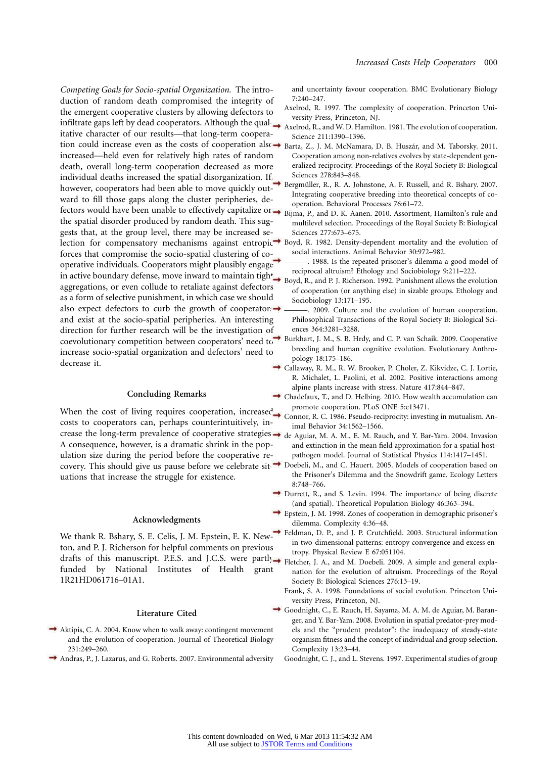*Competing Goals for Socio-spatial Organization.* The introduction of random death compromised the integrity of the emergent cooperative clusters by allowing defectors to infiltrate gaps left by dead cooperators. Although the qualitative character of our results—that long-term cooperation could increase even as the costs of cooperation als⇔ <sub>Barta,</sub> Z., J. M. McNamara, D. B. Huszár, and M. Taborsky. 2011. increased—held even for relatively high rates of random death, overall long-term cooperation decreased as more individual deaths increased the spatial disorganization. If, however, cooperators had been able to move quickly outward to fill those gaps along the cluster peripheries, dewhich to the most gaps along the chaster peripheries, according operation. Behavioral Processes 76:61–72.<br>
fectors would have been unable to effectively capitalize or  $\rightarrow$  Bijma, P., and D. K. Aanen. 2010. Assortme the spatial disorder produced by random death. This suggests that, at the group level, there may be increased selection for compensatory mechanisms against entropic Boyd, R. 1982. Density-dependent mortality and the evolution of forces that compromise the socio-spatial clustering of cooperative individuals. Cooperators might plausibly engage reciprocal altruism? Ethology and Sociobiology 9:211–222.<br>in active boundary defense, move inward to maintain tight Royd R, and R J Richarson 1992. Bunishment allows the ave aggregations, or even collude to retaliate against defectors as a form of selective punishment, in which case we should also expect defectors to curb the growth of cooperators  $\rightarrow$ . and exist at the socio-spatial peripheries. An interesting direction for further research will be the investigation of coevolutionary competition between cooperators' need to Burkhart, J. M., S. B. Hrdy, and C. P. van Schaik. 2009. Cooperative increase socio-spatial organization and defectors' need to decrease it.

#### **Concluding Remarks**

When the cost of living requires cooperation, increased  $\rightarrow$ costs to cooperators can, perhaps counterintuitively, increase the long-term prevalence of cooperative strategies  $\rightarrow$  de Aguiar, M. A. M., E. M. Rauch, and Y. Bar-Yam. 2004. Invasion A consequence, however, is a dramatic shrink in the population size during the period before the cooperative reuations that increase the struggle for existence.

#### **Acknowledgments**

We thank R. Bshary, S. E. Celis, J. M. Epstein, E. K. Newton, and P. J. Richerson for helpful comments on previous  $\frac{d}{dt}$  drafts of this manuscript. P.E.S. and J.C.S. were partly  $\rightarrow$  Fletcher, I. A., and M. Doebeli, 2009. funded by National Institutes of Health grant 1R21HD061716–01A1.

#### **Literature Cited**

- Aktipis, C. A. 2004. Know when to walk away: contingent movement and the evolution of cooperation. Journal of Theoretical Biology 231:249–260.
- Andras, P., J. Lazarus, and G. Roberts. 2007. Environmental adversity

and uncertainty favour cooperation. BMC Evolutionary Biology 7:240–247.

- Axelrod, R. 1997. The complexity of cooperation. Princeton University Press, Princeton, NJ.
- Axelrod, R., and W. D. Hamilton. 1981. The evolution of cooperation. Science 211:1390–1396.
- Cooperation among non-relatives evolves by state-dependent generalized reciprocity. Proceedings of the Royal Society B: Biological Sciences 278:843–848.
- Bergmüller, R., R. A. Johnstone, A. F. Russell, and R. Bshary. 2007. Integrating cooperative breeding into theoretical concepts of co-
- Bijma, P., and D. K. Aanen. 2010. Assortment, Hamilton's rule and multilevel selection. Proceedings of the Royal Society B: Biological Sciences 277:673–675.
- social interactions. Animal Behavior 30:972–982.
- -. 1988. Is the repeated prisoner's dilemma a good model of
- Boyd, R., and P. J. Richerson. 1992. Punishment allows the evolution of cooperation (or anything else) in sizable groups. Ethology and Sociobiology 13:171–195.
- . 2009. Culture and the evolution of human cooperation. Philosophical Transactions of the Royal Society B: Biological Sciences 364:3281–3288.
- breeding and human cognitive evolution. Evolutionary Anthropology 18:175–186.
- Callaway, R. M., R. W. Brooker, P. Choler, Z. Kikvidze, C. J. Lortie, R. Michalet, L. Paolini, et al. 2002. Positive interactions among alpine plants increase with stress. Nature 417:844–847.
- Chadefaux, T., and D. Helbing. 2010. How wealth accumulation can promote cooperation. PLoS ONE 5:e13471.
- Connor, R. C. 1986. Pseudo-reciprocity: investing in mutualism. Animal Behavior 34:1562–1566.
- and extinction in the mean field approximation for a spatial hostpathogen model. Journal of Statistical Physics 114:1417–1451.
- covery. This should give us pause before we celebrate sit-Doebeli, M., and C. Hauert. 2005. Models of cooperation based on the Prisoner's Dilemma and the Snowdrift game. Ecology Letters 8:748–766.
	- Durrett, R., and S. Levin. 1994. The importance of being discrete (and spatial). Theoretical Population Biology 46:363–394.
		- Epstein, J. M. 1998. Zones of cooperation in demographic prisoner's dilemma. Complexity 4:36–48.
	- Feldman, D. P., and J. P. Crutchfield. 2003. Structural information in two-dimensional patterns: entropy convergence and excess en-
		- Fletcher, J. A., and M. Doebeli. 2009. A simple and general explanation for the evolution of altruism. Proceedings of the Royal Society B: Biological Sciences 276:13–19.
		- Frank, S. A. 1998. Foundations of social evolution. Princeton University Press, Princeton, NJ.
	- Goodnight, C., E. Rauch, H. Sayama, M. A. M. de Aguiar, M. Baranger, and Y. Bar-Yam. 2008. Evolution in spatial predator-prey models and the "prudent predator": the inadequacy of steady-state organism fitness and the concept of individual and group selection. Complexity 13:23–44.
		- Goodnight, C. J., and L. Stevens. 1997. Experimental studies of group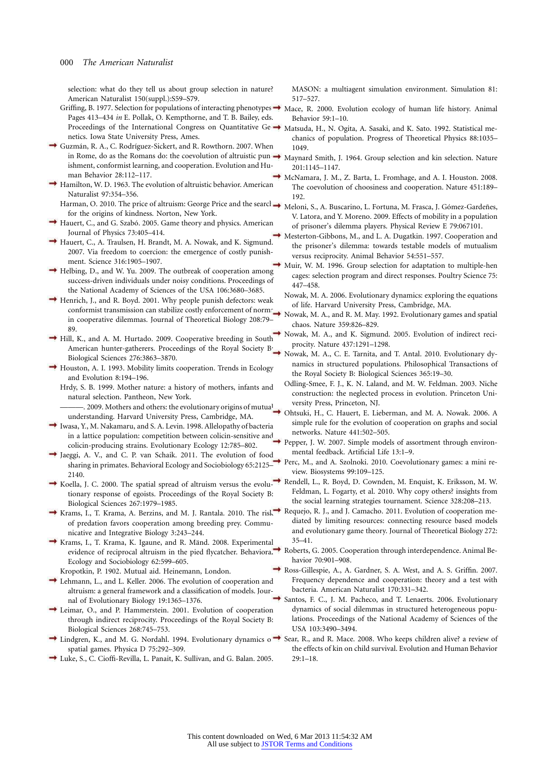selection: what do they tell us about group selection in nature? American Naturalist 150(suppl.):S59–S79.

- Griffing, B. 1977. Selection for populations of interacting phenotypes. Mace, R. 2000. Evolution ecology of human life history. Animal Pages 413–434 *in* E. Pollak, O. Kempthorne, and T. B. Bailey, eds. netics. Iowa State University Press, Ames.
- Guzmán, R. A., C. Rodríguez-Sickert, and R. Rowthorn. 2007. When in Rome, do as the Romans do: the coevolution of altruistic pun-Maynard Smith, J. 1964. Group selection and kin selection. Nature ishment, conformist learning, and cooperation. Evolution and Human Behavior 28:112–117.
- Hamilton, W. D. 1963. The evolution of altruistic behavior. American Naturalist 97:354–356.
- Harman, O. 2010. The price of altruism: George Price and the search 192. for the origins of kindness. Norton, New York.
- $\bigstar$  Hauert, C., and G. Szabó. 2005. Game theory and physics. American Journal of Physics 73:405–414.
- Hauert, C., A. Traulsen, H. Brandt, M. A. Nowak, and K. Sigmund. 2007. Via freedom to coercion: the emergence of costly punishment. Science 316:1905–1907.
- Helbing, D., and W. Yu. 2009. The outbreak of cooperation among success-driven individuals under noisy conditions. Proceedings of the National Academy of Sciences of the USA 106:3680–3685.
- Henrich, J., and R. Boyd. 2001. Why people punish defectors: weak conformist transmission can stabilize costly enforcement of norms in cooperative dilemmas. Journal of Theoretical Biology 208:79– 89.
- $\rightarrow$  Hill, K., and A. M. Hurtado. 2009. Cooperative breeding in South American hunter-gatherers. Proceedings of the Royal Society B. Biological Sciences 276:3863–3870.
- Houston, A. I. 1993. Mobility limits cooperation. Trends in Ecology and Evolution 8:194–196.
	- Hrdy, S. B. 1999. Mother nature: a history of mothers, infants and natural selection. Pantheon, New York.
	- -. 2009. Mothers and others: the evolutionary origins of mutual understanding. Harvard University Press, Cambridge, MA.
- Iwasa, Y., M. Nakamaru, and S. A. Levin. 1998. Allelopathy of bacteria in a lattice population: competition between colicin-sensitive and colicin-producing strains. Evolutionary Ecology 12:785–802.
- Jaeggi, A. V., and C. P. van Schaik. 2011. The evolution of food sharing in primates. Behavioral Ecology and Sociobiology 65:2125– 2140.
- tionary response of egoists. Proceedings of the Royal Society B: Biological Sciences 267:1979–1985.
- of predation favors cooperation among breeding prey. Communicative and Integrative Biology 3:243–244.
- → Krams, I., T. Krama, K. Igaune, and R. Mänd. 2008. Experimental evidence of reciprocal altruism in the pied flycatcher. Behavioral Ecology and Sociobiology 62:599–605.
- Kropotkin, P. 1902. Mutual aid. Heinemann, London.
- Lehmann, L., and L. Keller. 2006. The evolution of cooperation and altruism: a general framework and a classification of models. Journal of Evolutionary Biology 19:1365–1376.
- Leimar, O., and P. Hammerstein. 2001. Evolution of cooperation through indirect reciprocity. Proceedings of the Royal Society B: Biological Sciences 268:745–753.
- Lindgren, K., and M. G. Nordahl. 1994. Evolutionary dynamics o. Sear, R., and R. Mace. 2008. Who keeps children alive? a review of spatial games. Physica D 75:292–309.
- Luke, S., C. Cioffi-Revilla, L. Panait, K. Sullivan, and G. Balan. 2005.

MASON: a multiagent simulation environment. Simulation 81: 517–527.

- Behavior 59:1–10.
- Proceedings of the International Congress on Quantitative Ge → Matsuda, H., N. Ogita, A. Sasaki, and K. Sato. 1992. Statistical mechanics of population. Progress of Theoretical Physics 88:1035– 1049.
	- 201:1145–1147.
	- McNamara, J. M., Z. Barta, L. Fromhage, and A. I. Houston. 2008. The coevolution of choosiness and cooperation. Nature 451:189–
	- Meloni, S., A. Buscarino, L. Fortuna, M. Frasca, J. Gómez-Gardeñes, V. Latora, and Y. Moreno. 2009. Effects of mobility in a population of prisoner's dilemma players. Physical Review E 79:067101.
	- Mesterton-Gibbons, M., and L. A. Dugatkin. 1997. Cooperation and the prisoner's dilemma: towards testable models of mutualism versus reciprocity. Animal Behavior 54:551–557.
	- Muir, W. M. 1996. Group selection for adaptation to multiple-hen cages: selection program and direct responses. Poultry Science 75: 447–458.
	- Nowak, M. A. 2006. Evolutionary dynamics: exploring the equations of life. Harvard University Press, Cambridge, MA.
	- Nowak, M. A., and R. M. May. 1992. Evolutionary games and spatial chaos. Nature 359:826–829.
	- Nowak, M. A., and K. Sigmund. 2005. Evolution of indirect reciprocity. Nature 437:1291–1298.
	- Nowak, M. A., C. E. Tarnita, and T. Antal. 2010. Evolutionary dynamics in structured populations. Philosophical Transactions of the Royal Society B: Biological Sciences 365:19–30.
	- Odling-Smee, F. J., K. N. Laland, and M. W. Feldman. 2003. Niche construction: the neglected process in evolution. Princeton University Press, Princeton, NJ.
	- Ohtsuki, H., C. Hauert, E. Lieberman, and M. A. Nowak. 2006. A simple rule for the evolution of cooperation on graphs and social networks. Nature 441:502–505.
	- Pepper, J. W. 2007. Simple models of assortment through environmental feedback. Artificial Life 13:1–9.
		- Perc, M., and A. Szolnoki. 2010. Coevolutionary games: a mini review. Biosystems 99:109–125.
- Koella, J. C. 2000. The spatial spread of altruism versus the evolu-Rendell, L., R. Boyd, D. Cownden, M. Enquist, K. Eriksson, M. W. Feldman, L. Fogarty, et al. 2010. Why copy others? insights from the social learning strategies tournament. Science 328:208–213.
- Krams, I., T. Krama, A. Berzins, and M. J. Rantala. 2010. The risk Requejo, R. J., and J. Camacho. 2011. Evolution of cooperation mediated by limiting resources: connecting resource based models and evolutionary game theory. Journal of Theoretical Biology 272: 35–41.
	- Roberts, G. 2005. Cooperation through interdependence. Animal Behavior 70:901–908.
	- Ross-Gillespie, A., A. Gardner, S. A. West, and A. S. Griffin. 2007. Frequency dependence and cooperation: theory and a test with bacteria. American Naturalist 170:331–342.
	- Santos, F. C., J. M. Pacheco, and T. Lenaerts. 2006. Evolutionary dynamics of social dilemmas in structured heterogeneous populations. Proceedings of the National Academy of Sciences of the USA 103:3490–3494.
	- the effects of kin on child survival. Evolution and Human Behavior 29:1–18.